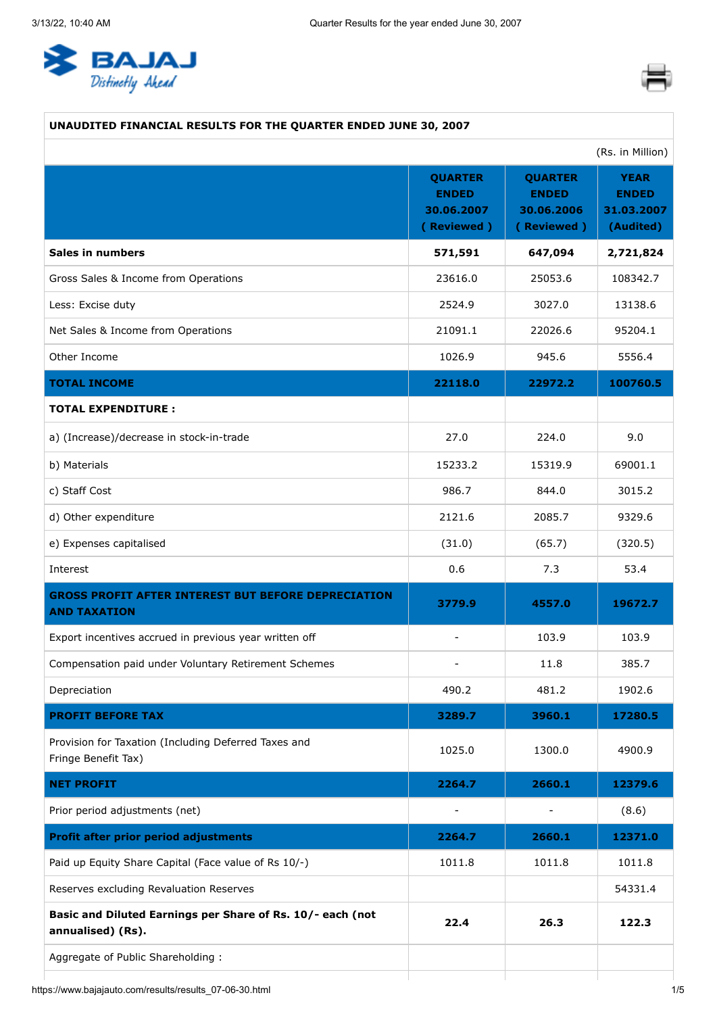<span id="page-0-0"></span>



### **UNAUDITED FINANCIAL RESULTS FOR THE QUARTER ENDED JUNE 30, 2007**

|                                                                                   |                                                            |                                                            | (Rs. in Million)                                       |
|-----------------------------------------------------------------------------------|------------------------------------------------------------|------------------------------------------------------------|--------------------------------------------------------|
|                                                                                   | <b>QUARTER</b><br><b>ENDED</b><br>30.06.2007<br>(Reviewed) | <b>QUARTER</b><br><b>ENDED</b><br>30.06.2006<br>(Reviewed) | <b>YEAR</b><br><b>ENDED</b><br>31.03.2007<br>(Audited) |
| <b>Sales in numbers</b>                                                           | 571,591                                                    | 647,094                                                    | 2,721,824                                              |
| Gross Sales & Income from Operations                                              | 23616.0                                                    | 25053.6                                                    | 108342.7                                               |
| Less: Excise duty                                                                 | 2524.9                                                     | 3027.0                                                     | 13138.6                                                |
| Net Sales & Income from Operations                                                | 21091.1                                                    | 22026.6                                                    | 95204.1                                                |
| Other Income                                                                      | 1026.9                                                     | 945.6                                                      | 5556.4                                                 |
| <b>TOTAL INCOME</b>                                                               | 22118.0                                                    | 22972.2                                                    | 100760.5                                               |
| <b>TOTAL EXPENDITURE:</b>                                                         |                                                            |                                                            |                                                        |
| a) (Increase)/decrease in stock-in-trade                                          | 27.0                                                       | 224.0                                                      | 9.0                                                    |
| b) Materials                                                                      | 15233.2                                                    | 15319.9                                                    | 69001.1                                                |
| c) Staff Cost                                                                     | 986.7                                                      | 844.0                                                      | 3015.2                                                 |
| d) Other expenditure                                                              | 2121.6                                                     | 2085.7                                                     | 9329.6                                                 |
| e) Expenses capitalised                                                           | (31.0)                                                     | (65.7)                                                     | (320.5)                                                |
| Interest                                                                          | 0.6                                                        | 7.3                                                        | 53.4                                                   |
| <b>GROSS PROFIT AFTER INTEREST BUT BEFORE DEPRECIATION</b><br><b>AND TAXATION</b> | 3779.9                                                     | 4557.0                                                     | 19672.7                                                |
| Export incentives accrued in previous year written off                            | $\overline{\phantom{a}}$                                   | 103.9                                                      | 103.9                                                  |
| Compensation paid under Voluntary Retirement Schemes                              | $\overline{\phantom{a}}$                                   | 11.8                                                       | 385.7                                                  |
| Depreciation                                                                      | 490.2                                                      | 481.2                                                      | 1902.6                                                 |
| <b>PROFIT BEFORE TAX</b>                                                          | 3289.7                                                     | 3960.1                                                     | 17280.5                                                |
| Provision for Taxation (Including Deferred Taxes and<br>Fringe Benefit Tax)       | 1025.0                                                     | 1300.0                                                     | 4900.9                                                 |
| <b>NET PROFIT</b>                                                                 | 2264.7                                                     | 2660.1                                                     | 12379.6                                                |
| Prior period adjustments (net)                                                    | $\overline{\phantom{a}}$                                   |                                                            | (8.6)                                                  |
| <b>Profit after prior period adjustments</b>                                      | 2264.7                                                     | 2660.1                                                     | 12371.0                                                |
| Paid up Equity Share Capital (Face value of Rs 10/-)                              | 1011.8                                                     | 1011.8                                                     | 1011.8                                                 |
| Reserves excluding Revaluation Reserves                                           |                                                            |                                                            | 54331.4                                                |
| Basic and Diluted Earnings per Share of Rs. 10/- each (not<br>annualised) (Rs).   | 22.4                                                       | 26.3                                                       | 122.3                                                  |
| Aggregate of Public Shareholding:                                                 |                                                            |                                                            |                                                        |
|                                                                                   |                                                            |                                                            |                                                        |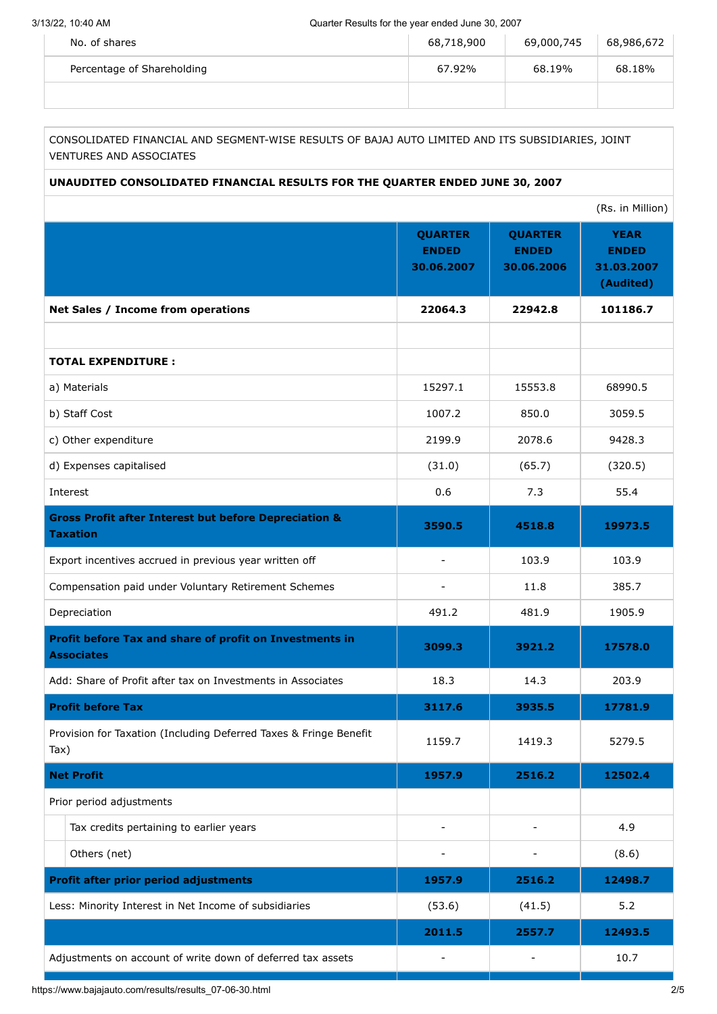| No. of shares              | 68,718,900 | 69,000,745 | 68,986,672 |
|----------------------------|------------|------------|------------|
| Percentage of Shareholding | 67.92%     | 68.19%     | 68.18%     |
|                            |            |            |            |

CONSOLIDATED FINANCIAL AND SEGMENT-WISE RESULTS OF BAJAJ AUTO LIMITED AND ITS SUBSIDIARIES, JOINT VENTURES AND ASSOCIATES

#### **UNAUDITED CONSOLIDATED FINANCIAL RESULTS FOR THE QUARTER ENDED JUNE 30, 2007**

|                                                                                     |                                              |                                              | (Rs. in Million)                                       |
|-------------------------------------------------------------------------------------|----------------------------------------------|----------------------------------------------|--------------------------------------------------------|
|                                                                                     | <b>QUARTER</b><br><b>ENDED</b><br>30.06.2007 | <b>QUARTER</b><br><b>ENDED</b><br>30.06.2006 | <b>YEAR</b><br><b>ENDED</b><br>31.03.2007<br>(Audited) |
| Net Sales / Income from operations                                                  | 22064.3                                      | 22942.8                                      | 101186.7                                               |
|                                                                                     |                                              |                                              |                                                        |
| <b>TOTAL EXPENDITURE:</b>                                                           |                                              |                                              |                                                        |
| a) Materials                                                                        | 15297.1                                      | 15553.8                                      | 68990.5                                                |
| b) Staff Cost                                                                       | 1007.2                                       | 850.0                                        | 3059.5                                                 |
| c) Other expenditure                                                                | 2199.9                                       | 2078.6                                       | 9428.3                                                 |
| d) Expenses capitalised                                                             | (31.0)                                       | (65.7)                                       | (320.5)                                                |
| Interest                                                                            | 0.6                                          | 7.3                                          | 55.4                                                   |
| <b>Gross Profit after Interest but before Depreciation &amp;</b><br><b>Taxation</b> | 3590.5                                       | 4518.8                                       | 19973.5                                                |
| Export incentives accrued in previous year written off                              |                                              | 103.9                                        | 103.9                                                  |
| Compensation paid under Voluntary Retirement Schemes                                |                                              | 11.8                                         | 385.7                                                  |
| Depreciation                                                                        | 491.2                                        | 481.9                                        | 1905.9                                                 |
| Profit before Tax and share of profit on Investments in<br><b>Associates</b>        | 3099.3                                       | 3921.2                                       | 17578.0                                                |
| Add: Share of Profit after tax on Investments in Associates                         | 18.3                                         | 14.3                                         | 203.9                                                  |
| <b>Profit before Tax</b>                                                            | 3117.6                                       | 3935.5                                       | 17781.9                                                |
| Provision for Taxation (Including Deferred Taxes & Fringe Benefit<br>Tax)           | 1159.7                                       | 1419.3                                       | 5279.5                                                 |
| <b>Net Profit</b>                                                                   | 1957.9                                       | 2516.2                                       | 12502.4                                                |
| Prior period adjustments                                                            |                                              |                                              |                                                        |
| Tax credits pertaining to earlier years                                             |                                              |                                              | 4.9                                                    |
| Others (net)                                                                        |                                              |                                              | (8.6)                                                  |
| <b>Profit after prior period adjustments</b>                                        | 1957.9                                       | 2516.2                                       | 12498.7                                                |
| Less: Minority Interest in Net Income of subsidiaries                               | (53.6)                                       | (41.5)                                       | 5.2                                                    |
|                                                                                     | 2011.5                                       | 2557.7                                       | 12493.5                                                |
| Adjustments on account of write down of deferred tax assets                         |                                              |                                              | 10.7                                                   |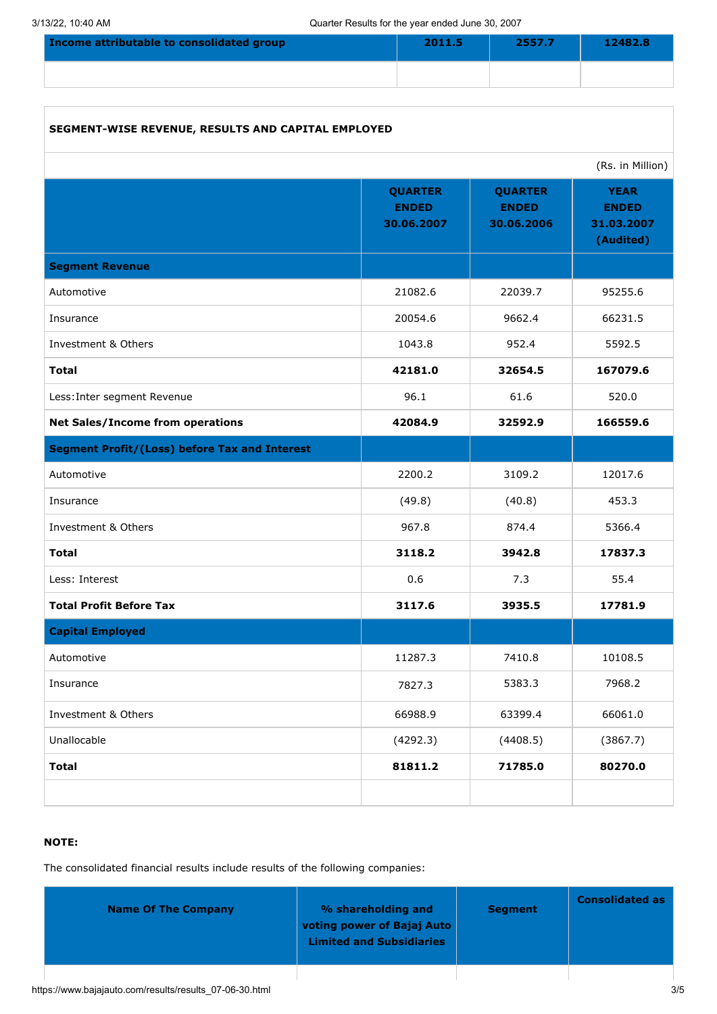| Income attributable to consolidated group | 2011.5 | 2557.7 | 12482.8 |
|-------------------------------------------|--------|--------|---------|
|                                           |        |        |         |

| SEGMENT-WISE REVENUE, RESULTS AND CAPITAL EMPLOYED   |                                              |                                              |                                                        |
|------------------------------------------------------|----------------------------------------------|----------------------------------------------|--------------------------------------------------------|
|                                                      |                                              |                                              | (Rs. in Million)                                       |
|                                                      | <b>QUARTER</b><br><b>ENDED</b><br>30.06.2007 | <b>QUARTER</b><br><b>ENDED</b><br>30.06.2006 | <b>YEAR</b><br><b>ENDED</b><br>31.03.2007<br>(Audited) |
| <b>Segment Revenue</b>                               |                                              |                                              |                                                        |
| Automotive                                           | 21082.6                                      | 22039.7                                      | 95255.6                                                |
| Insurance                                            | 20054.6                                      | 9662.4                                       | 66231.5                                                |
| Investment & Others                                  | 1043.8                                       | 952.4                                        | 5592.5                                                 |
| <b>Total</b>                                         | 42181.0                                      | 32654.5                                      | 167079.6                                               |
| Less: Inter segment Revenue                          | 96.1                                         | 61.6                                         | 520.0                                                  |
| <b>Net Sales/Income from operations</b>              | 42084.9                                      | 32592.9                                      | 166559.6                                               |
| <b>Segment Profit/(Loss) before Tax and Interest</b> |                                              |                                              |                                                        |
| Automotive                                           | 2200.2                                       | 3109.2                                       | 12017.6                                                |
| Insurance                                            | (49.8)                                       | (40.8)                                       | 453.3                                                  |
| Investment & Others                                  | 967.8                                        | 874.4                                        | 5366.4                                                 |
| <b>Total</b>                                         | 3118.2                                       | 3942.8                                       | 17837.3                                                |
| Less: Interest                                       | 0.6                                          | 7.3                                          | 55.4                                                   |
| <b>Total Profit Before Tax</b>                       | 3117.6                                       | 3935.5                                       | 17781.9                                                |
| <b>Capital Employed</b>                              |                                              |                                              |                                                        |
| Automotive                                           | 11287.3                                      | 7410.8                                       | 10108.5                                                |
| Insurance                                            | 7827.3                                       | 5383.3                                       | 7968.2                                                 |
| Investment & Others                                  | 66988.9                                      | 63399.4                                      | 66061.0                                                |
| Unallocable                                          | (4292.3)                                     | (4408.5)                                     | (3867.7)                                               |
| <b>Total</b>                                         | 81811.2                                      | 71785.0                                      | 80270.0                                                |
|                                                      |                                              |                                              |                                                        |

# **NOTE:**

The consolidated financial results include results of the following companies:

| <b>Name Of The Company</b> | % shareholding and<br>voting power of Bajaj Auto<br><b>Limited and Subsidiaries</b> | <b>Segment</b> | <b>Consolidated as</b> |
|----------------------------|-------------------------------------------------------------------------------------|----------------|------------------------|
|                            |                                                                                     |                |                        |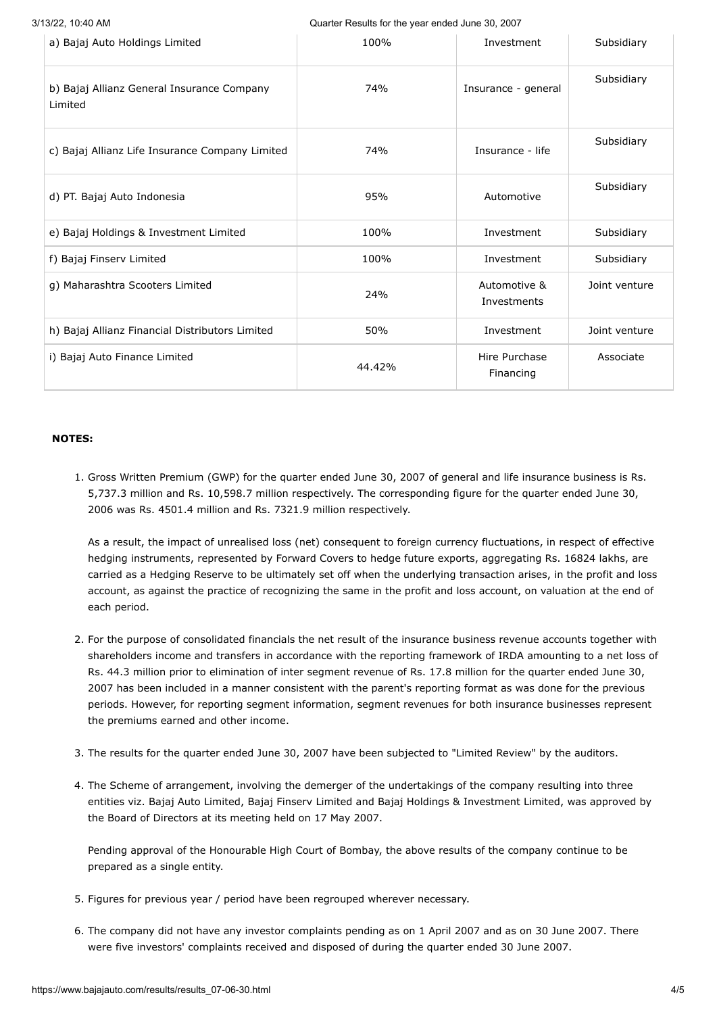| 3/13/22, 10:40 AM<br>Quarter Results for the year ended June 30, 2007 |        |                             |               |
|-----------------------------------------------------------------------|--------|-----------------------------|---------------|
| a) Bajaj Auto Holdings Limited                                        | 100%   | Investment                  | Subsidiary    |
| b) Bajaj Allianz General Insurance Company<br>Limited                 | 74%    | Insurance - general         | Subsidiary    |
| c) Bajaj Allianz Life Insurance Company Limited                       | 74%    | Insurance - life            | Subsidiary    |
| d) PT. Bajaj Auto Indonesia                                           | 95%    | Automotive                  | Subsidiary    |
| e) Bajaj Holdings & Investment Limited                                | 100%   | Investment                  | Subsidiary    |
| f) Bajaj Finserv Limited                                              | 100%   | Investment                  | Subsidiary    |
| g) Maharashtra Scooters Limited                                       | 24%    | Automotive &<br>Investments | Joint venture |
| h) Bajaj Allianz Financial Distributors Limited                       | 50%    | Investment                  | Joint venture |
| i) Bajaj Auto Finance Limited                                         | 44.42% | Hire Purchase<br>Financing  | Associate     |

#### **NOTES:**

1. Gross Written Premium (GWP) for the quarter ended June 30, 2007 of general and life insurance business is Rs. 5,737.3 million and Rs. 10,598.7 million respectively. The corresponding figure for the quarter ended June 30, 2006 was Rs. 4501.4 million and Rs. 7321.9 million respectively.

As a result, the impact of unrealised loss (net) consequent to foreign currency fluctuations, in respect of effective hedging instruments, represented by Forward Covers to hedge future exports, aggregating Rs. 16824 lakhs, are carried as a Hedging Reserve to be ultimately set off when the underlying transaction arises, in the profit and loss account, as against the practice of recognizing the same in the profit and loss account, on valuation at the end of each period.

- 2. For the purpose of consolidated financials the net result of the insurance business revenue accounts together with shareholders income and transfers in accordance with the reporting framework of IRDA amounting to a net loss of Rs. 44.3 million prior to elimination of inter segment revenue of Rs. 17.8 million for the quarter ended June 30, 2007 has been included in a manner consistent with the parent's reporting format as was done for the previous periods. However, for reporting segment information, segment revenues for both insurance businesses represent the premiums earned and other income.
- 3. The results for the quarter ended June 30, 2007 have been subjected to "Limited Review" by the auditors.
- 4. The Scheme of arrangement, involving the demerger of the undertakings of the company resulting into three entities viz. Bajaj Auto Limited, Bajaj Finserv Limited and Bajaj Holdings & Investment Limited, was approved by the Board of Directors at its meeting held on 17 May 2007.

Pending approval of the Honourable High Court of Bombay, the above results of the company continue to be prepared as a single entity.

- 5. Figures for previous year / period have been regrouped wherever necessary.
- 6. The company did not have any investor complaints pending as on 1 April 2007 and as on 30 June 2007. There were five investors' complaints received and disposed of during the quarter ended 30 June 2007.